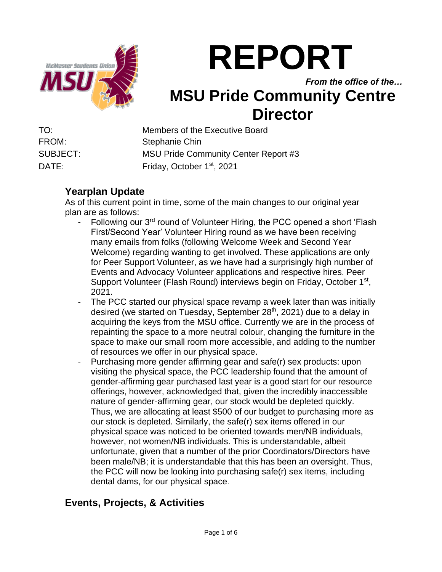

# **REPORT**

*From the office of the…*

# **MSU Pride Community Centre Director**

| TO:      | Members of the Executive Board         |  |  |
|----------|----------------------------------------|--|--|
| FROM:    | Stephanie Chin                         |  |  |
| SUBJECT: | MSU Pride Community Center Report #3   |  |  |
| DATE:    | Friday, October 1 <sup>st</sup> , 2021 |  |  |

# **Yearplan Update**

As of this current point in time, some of the main changes to our original year plan are as follows:

- Following our 3<sup>rd</sup> round of Volunteer Hiring, the PCC opened a short 'Flash First/Second Year' Volunteer Hiring round as we have been receiving many emails from folks (following Welcome Week and Second Year Welcome) regarding wanting to get involved. These applications are only for Peer Support Volunteer, as we have had a surprisingly high number of Events and Advocacy Volunteer applications and respective hires. Peer Support Volunteer (Flash Round) interviews begin on Friday, October 1<sup>st</sup>, 2021.
- The PCC started our physical space revamp a week later than was initially desired (we started on Tuesday, September 28<sup>th</sup>, 2021) due to a delay in acquiring the keys from the MSU office. Currently we are in the process of repainting the space to a more neutral colour, changing the furniture in the space to make our small room more accessible, and adding to the number of resources we offer in our physical space.
- Purchasing more gender affirming gear and safe(r) sex products: upon visiting the physical space, the PCC leadership found that the amount of gender-affirming gear purchased last year is a good start for our resource offerings, however, acknowledged that, given the incredibly inaccessible nature of gender-affirming gear, our stock would be depleted quickly. Thus, we are allocating at least \$500 of our budget to purchasing more as our stock is depleted. Similarly, the safe(r) sex items offered in our physical space was noticed to be oriented towards men/NB individuals, however, not women/NB individuals. This is understandable, albeit unfortunate, given that a number of the prior Coordinators/Directors have been male/NB; it is understandable that this has been an oversight. Thus, the PCC will now be looking into purchasing safe(r) sex items, including dental dams, for our physical space.

# **Events, Projects, & Activities**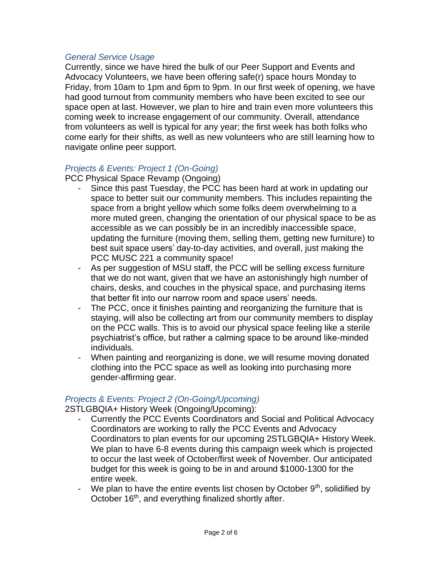#### *General Service Usage*

Currently, since we have hired the bulk of our Peer Support and Events and Advocacy Volunteers, we have been offering safe(r) space hours Monday to Friday, from 10am to 1pm and 6pm to 9pm. In our first week of opening, we have had good turnout from community members who have been excited to see our space open at last. However, we plan to hire and train even more volunteers this coming week to increase engagement of our community. Overall, attendance from volunteers as well is typical for any year; the first week has both folks who come early for their shifts, as well as new volunteers who are still learning how to navigate online peer support.

#### *Projects & Events: Project 1 (On-Going)*

PCC Physical Space Revamp (Ongoing)

- Since this past Tuesday, the PCC has been hard at work in updating our space to better suit our community members. This includes repainting the space from a bright yellow which some folks deem overwhelming to a more muted green, changing the orientation of our physical space to be as accessible as we can possibly be in an incredibly inaccessible space, updating the furniture (moving them, selling them, getting new furniture) to best suit space users' day-to-day activities, and overall, just making the PCC MUSC 221 a community space!
- As per suggestion of MSU staff, the PCC will be selling excess furniture that we do not want, given that we have an astonishingly high number of chairs, desks, and couches in the physical space, and purchasing items that better fit into our narrow room and space users' needs.
- The PCC, once it finishes painting and reorganizing the furniture that is staying, will also be collecting art from our community members to display on the PCC walls. This is to avoid our physical space feeling like a sterile psychiatrist's office, but rather a calming space to be around like-minded individuals.
- When painting and reorganizing is done, we will resume moving donated clothing into the PCC space as well as looking into purchasing more gender-affirming gear.

#### *Projects & Events: Project 2 (On-Going/Upcoming)*

2STLGBQIA+ History Week (Ongoing/Upcoming):

- Currently the PCC Events Coordinators and Social and Political Advocacy Coordinators are working to rally the PCC Events and Advocacy Coordinators to plan events for our upcoming 2STLGBQIA+ History Week. We plan to have 6-8 events during this campaign week which is projected to occur the last week of October/first week of November. Our anticipated budget for this week is going to be in and around \$1000-1300 for the entire week.
- We plan to have the entire events list chosen by October  $9<sup>th</sup>$ , solidified by October 16<sup>th</sup>, and everything finalized shortly after.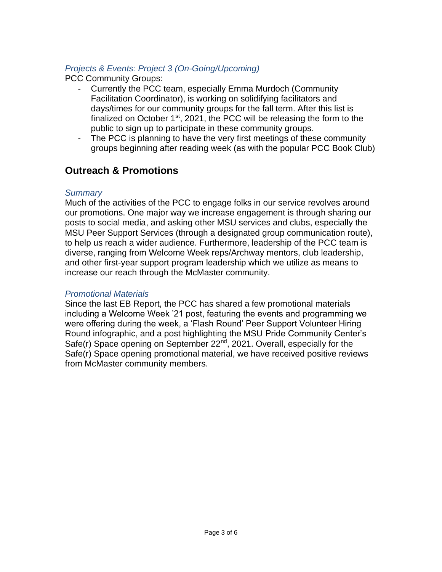#### *Projects & Events: Project 3 (On-Going/Upcoming)*

PCC Community Groups:

- Currently the PCC team, especially Emma Murdoch (Community Facilitation Coordinator), is working on solidifying facilitators and days/times for our community groups for the fall term. After this list is finalized on October  $1<sup>st</sup>$ , 2021, the PCC will be releasing the form to the public to sign up to participate in these community groups.
- The PCC is planning to have the very first meetings of these community groups beginning after reading week (as with the popular PCC Book Club)

# **Outreach & Promotions**

#### *Summary*

Much of the activities of the PCC to engage folks in our service revolves around our promotions. One major way we increase engagement is through sharing our posts to social media, and asking other MSU services and clubs, especially the MSU Peer Support Services (through a designated group communication route), to help us reach a wider audience. Furthermore, leadership of the PCC team is diverse, ranging from Welcome Week reps/Archway mentors, club leadership, and other first-year support program leadership which we utilize as means to increase our reach through the McMaster community.

#### *Promotional Materials*

Since the last EB Report, the PCC has shared a few promotional materials including a Welcome Week '21 post, featuring the events and programming we were offering during the week, a 'Flash Round' Peer Support Volunteer Hiring Round infographic, and a post highlighting the MSU Pride Community Center's Safe(r) Space opening on September 22<sup>nd</sup>, 2021. Overall, especially for the Safe(r) Space opening promotional material, we have received positive reviews from McMaster community members.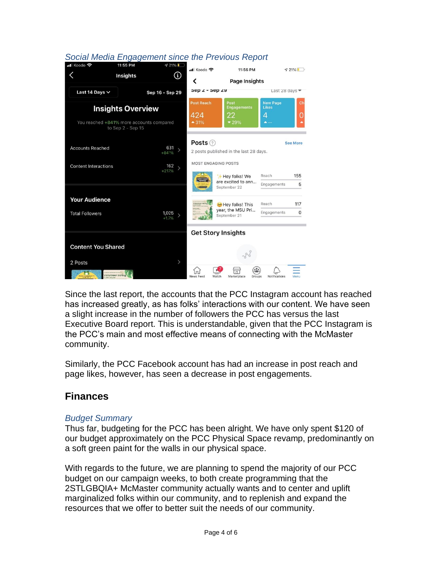| II Koodo 후                                                           | 11:55 PM          | $721\%$                            |                                                                      |                                      |                |             |
|----------------------------------------------------------------------|-------------------|------------------------------------|----------------------------------------------------------------------|--------------------------------------|----------------|-------------|
|                                                                      | <b>Insights</b>   | ⊙                                  | Koodo 후                                                              | 11:56 PM                             |                | $721\%$     |
|                                                                      |                   |                                    |                                                                      | Page Insights                        |                |             |
| Last 14 Days $\vee$                                                  |                   | Sep 16 - Sep 29                    | $\frac{1}{2}$ ep $\frac{1}{2}$ - $\frac{1}{2}$ ep $\frac{1}{2}$      |                                      | Last 28 days ▼ |             |
| <b>Insights Overview</b><br>You reached +841% more accounts compared |                   | <b>Post Reach</b><br>424<br>$-31%$ | Post<br><b>Engagements</b><br>22<br>$-29%$                           | <b>New Page</b><br><b>Likes</b><br>4 | Ch<br>O        |             |
|                                                                      | to Sep 2 - Sep 15 |                                    |                                                                      |                                      |                |             |
| <b>Accounts Reached</b>                                              |                   | 631<br>$+841%$                     | Posts ?<br><b>See More</b><br>2 posts published in the last 28 days. |                                      |                |             |
| <b>Content Interactions</b>                                          |                   | 162<br>$+217%$                     | <b>MOST ENGAGING POSTS</b>                                           | Hey folks! We                        | Reach          | 155         |
|                                                                      |                   |                                    |                                                                      | are excited to ann<br>September 22   | Engagements    | 5           |
| <b>Your Audience</b>                                                 |                   |                                    | clunteer Hirtrig<br><b>69</b> Hey folks! This                        | Reach                                | 117            |             |
| <b>Total Followers</b>                                               |                   | 1,025<br>$+1.7%$                   |                                                                      | year, the MSU Pri<br>September 21    | Engagements    | $\mathbf 0$ |
|                                                                      |                   |                                    | <b>Get Story Insights</b>                                            |                                      |                |             |
|                                                                      |                   |                                    |                                                                      |                                      |                |             |
| <b>Content You Shared</b>                                            |                   |                                    |                                                                      |                                      |                |             |
| 2 Posts                                                              |                   | $\mathcal{P}$                      |                                                                      |                                      |                |             |
| <b>RIDE COMMUNIT</b>                                                 | Volunteer Hiring  |                                    | News Feed<br>Watch                                                   | Marketplace<br>Groups                | Notifications  | Menu        |

#### *Social Media Engagement since the Previous Report*

Since the last report, the accounts that the PCC Instagram account has reached has increased greatly, as has folks' interactions with our content. We have seen a slight increase in the number of followers the PCC has versus the last Executive Board report. This is understandable, given that the PCC Instagram is the PCC's main and most effective means of connecting with the McMaster community.

Similarly, the PCC Facebook account has had an increase in post reach and page likes, however, has seen a decrease in post engagements.

# **Finances**

#### *Budget Summary*

Thus far, budgeting for the PCC has been alright. We have only spent \$120 of our budget approximately on the PCC Physical Space revamp, predominantly on a soft green paint for the walls in our physical space.

With regards to the future, we are planning to spend the majority of our PCC budget on our campaign weeks, to both create programming that the 2STLGBQIA+ McMaster community actually wants and to center and uplift marginalized folks within our community, and to replenish and expand the resources that we offer to better suit the needs of our community.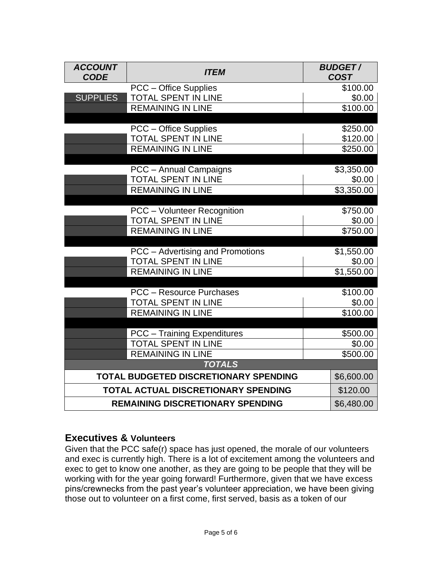| <b>ACCOUNT</b><br><b>CODE</b>           | <b>ITEM</b>                        | <b>BUDGET/</b><br><b>COST</b> |
|-----------------------------------------|------------------------------------|-------------------------------|
|                                         | PCC - Office Supplies              | \$100.00                      |
| <b>SUPPLIES</b>                         | <b>TOTAL SPENT IN LINE</b>         | \$0.00                        |
|                                         | <b>REMAINING IN LINE</b>           | \$100.00                      |
|                                         |                                    |                               |
|                                         | PCC - Office Supplies              | \$250.00                      |
|                                         | <b>TOTAL SPENT IN LINE</b>         | \$120.00                      |
|                                         | <b>REMAINING IN LINE</b>           | \$250.00                      |
|                                         | PCC - Annual Campaigns             | \$3,350.00                    |
|                                         | <b>TOTAL SPENT IN LINE</b>         | \$0.00                        |
|                                         | <b>REMAINING IN LINE</b>           | \$3,350.00                    |
|                                         |                                    |                               |
|                                         | <b>PCC</b> - Volunteer Recognition | \$750.00                      |
|                                         | <b>TOTAL SPENT IN LINE</b>         | \$0.00                        |
|                                         | <b>REMAINING IN LINE</b>           | \$750.00                      |
|                                         |                                    |                               |
|                                         | PCC - Advertising and Promotions   | \$1,550.00                    |
|                                         | <b>TOTAL SPENT IN LINE</b>         | \$0.00                        |
|                                         | <b>REMAINING IN LINE</b>           | \$1,550.00                    |
|                                         | <b>PCC - Resource Purchases</b>    | \$100.00                      |
|                                         | <b>TOTAL SPENT IN LINE</b>         | \$0.00                        |
|                                         | <b>REMAINING IN LINE</b>           | $\overline{$}100.00$          |
|                                         |                                    |                               |
|                                         | <b>PCC</b> - Training Expenditures | \$500.00                      |
|                                         | <b>TOTAL SPENT IN LINE</b>         | \$0.00                        |
|                                         | <b>REMAINING IN LINE</b>           | \$500.00                      |
|                                         | <b>TOTALS</b>                      |                               |
| TOTAL BUDGETED DISCRETIONARY SPENDING   |                                    | \$6,600.00                    |
| TOTAL ACTUAL DISCRETIONARY SPENDING     |                                    | \$120.00                      |
| <b>REMAINING DISCRETIONARY SPENDING</b> |                                    | \$6,480.00                    |

## **Executives & Volunteers**

Given that the PCC safe(r) space has just opened, the morale of our volunteers and exec is currently high. There is a lot of excitement among the volunteers and exec to get to know one another, as they are going to be people that they will be working with for the year going forward! Furthermore, given that we have excess pins/crewnecks from the past year's volunteer appreciation, we have been giving those out to volunteer on a first come, first served, basis as a token of our